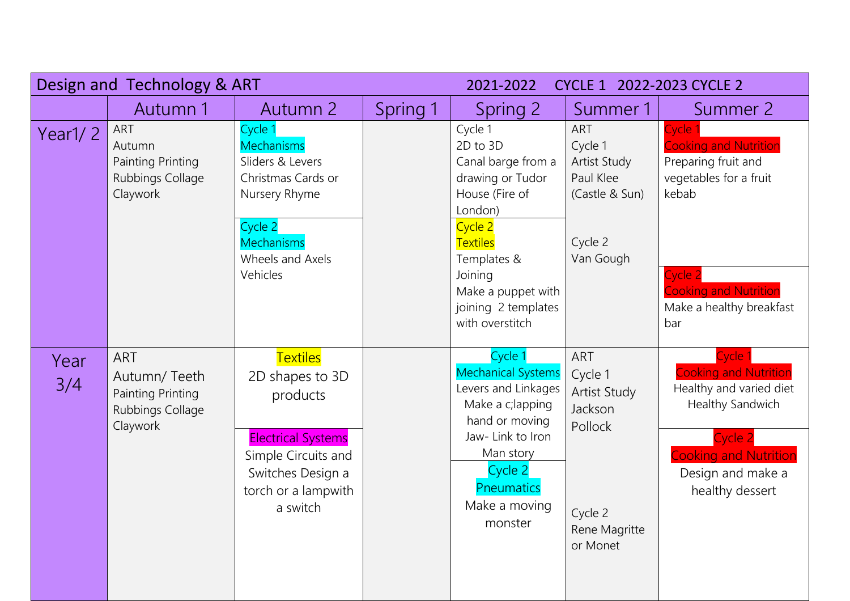|             | Design and Technology & ART                                                     |                                                                                                                                                            | 2021-2022<br>CYCLE 1 2022-2023 CYCLE 2 |                                                                                                                                                                                          |                                                                                                     |                                                                                                                                                                           |
|-------------|---------------------------------------------------------------------------------|------------------------------------------------------------------------------------------------------------------------------------------------------------|----------------------------------------|------------------------------------------------------------------------------------------------------------------------------------------------------------------------------------------|-----------------------------------------------------------------------------------------------------|---------------------------------------------------------------------------------------------------------------------------------------------------------------------------|
|             | Autumn 1                                                                        | Autumn 2                                                                                                                                                   | Spring 1                               | Spring 2                                                                                                                                                                                 | Summer 1                                                                                            | Summer 2                                                                                                                                                                  |
| Year $1/2$  | ART<br>Autumn<br>Painting Printing<br>Rubbings Collage<br>Claywork              | Cycle 1<br><b>Mechanisms</b><br>Sliders & Levers<br>Christmas Cards or<br>Nursery Rhyme<br>Cycle 2<br><b>Mechanisms</b>                                    |                                        | Cycle 1<br>2D to 3D<br>Canal barge from a<br>drawing or Tudor<br>House (Fire of<br>London)<br>Cycle 2<br><b>Textiles</b>                                                                 | ART<br>Cycle 1<br>Artist Study<br>Paul Klee<br>(Castle & Sun)<br>Cycle 2                            | Cycle<br><b>Cooking and Nutrition</b><br>Preparing fruit and<br>vegetables for a fruit<br>kebab                                                                           |
|             |                                                                                 | Wheels and Axels<br>Vehicles                                                                                                                               |                                        | Templates &<br>Joining<br>Make a puppet with<br>joining 2 templates<br>with overstitch                                                                                                   | Van Gough                                                                                           | Cycle 2<br><b>Cooking and Nutrition</b><br>Make a healthy breakfast<br>bar                                                                                                |
| Year<br>3/4 | <b>ART</b><br>Autumn/Teeth<br>Painting Printing<br>Rubbings Collage<br>Claywork | <b>Textiles</b><br>2D shapes to 3D<br>products<br><b>Electrical Systems</b><br>Simple Circuits and<br>Switches Design a<br>torch or a lampwith<br>a switch |                                        | Cycle 1<br><b>Mechanical Systems</b><br>Levers and Linkages<br>Make a c; lapping<br>hand or moving<br>Jaw-Link to Iron<br>Man story<br>Cycle 2<br>Pneumatics<br>Make a moving<br>monster | <b>ART</b><br>Cycle 1<br>Artist Study<br>Jackson<br>Pollock<br>Cycle 2<br>Rene Magritte<br>or Monet | Cycle 1<br><b>Cooking and Nutrition</b><br>Healthy and varied diet<br>Healthy Sandwich<br>Cycle 2<br><b>Cooking and Nutrition</b><br>Design and make a<br>healthy dessert |